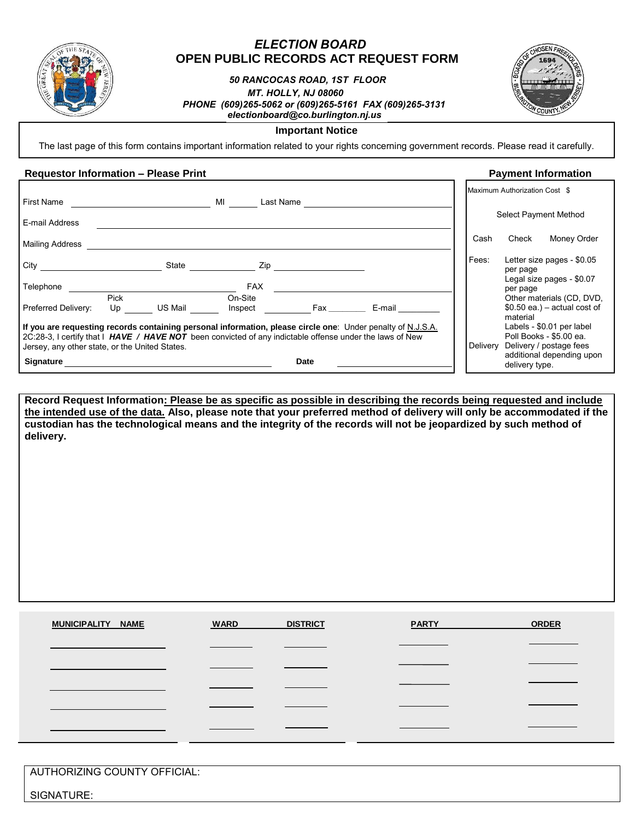

# *ELECTION BOARD* **OPEN PUBLIC RECORDS ACT REQUEST FORM**

# *50 RANCOCAS ROAD, 1ST FLOOR MT. HOLLY, NJ 08060 PHONE (609)265-5062 or (609)265-5161 FAX (609)265-3131 [electionboard@co.burlington.nj.us](mailto:electionboard@co.burlington.nj.us)*



# **Important Notice**

The last page of this form contains important information related to your rights concerning government records. Please read it carefully.

### **Requestor Information – Please Print Payment Information**

| <b>First Name</b>                                                                                                                                                                                                                                                         |            |         | <b>MI</b>          | Last Name                                                                                                      |        |          | Maximum Authorization Cost \$ |                                                                                 |
|---------------------------------------------------------------------------------------------------------------------------------------------------------------------------------------------------------------------------------------------------------------------------|------------|---------|--------------------|----------------------------------------------------------------------------------------------------------------|--------|----------|-------------------------------|---------------------------------------------------------------------------------|
| E-mail Address                                                                                                                                                                                                                                                            |            |         |                    |                                                                                                                |        |          |                               | Select Payment Method                                                           |
| Mailing Address                                                                                                                                                                                                                                                           |            |         |                    |                                                                                                                |        | Cash     | Check                         | Money Order                                                                     |
| City                                                                                                                                                                                                                                                                      |            | State   |                    | Zip and the set of the set of the set of the set of the set of the set of the set of the set of the set of the |        | Fees:    | per page                      | Letter size pages - \$0.05                                                      |
| Telephone                                                                                                                                                                                                                                                                 |            |         | <b>FAX</b>         |                                                                                                                |        |          | per page                      | Legal size pages - \$0.07                                                       |
| Preferred Delivery:                                                                                                                                                                                                                                                       | Pick<br>Up | US Mail | On-Site<br>Inspect | Fax _______                                                                                                    | E-mail |          | material                      | Other materials (CD, DVD,<br>$$0.50$ ea.) – actual cost of                      |
| If you are requesting records containing personal information, please circle one: Under penalty of N.J.S.A.<br>2C:28-3, I certify that I HAVE / HAVE NOT been convicted of any indictable offense under the laws of New<br>Jersey, any other state, or the United States. |            |         |                    |                                                                                                                |        | Delivery |                               | Labels - \$0.01 per label<br>Poll Books - \$5.00 ea.<br>Delivery / postage fees |
| Signature                                                                                                                                                                                                                                                                 |            |         |                    | Date                                                                                                           |        |          | delivery type.                | additional depending upon                                                       |

**Record Request Information: Please be as specific as possible in describing the records being requested and include the intended use of the data. Also, please note that your preferred method of delivery will only be accommodated if the custodian has the technological means and the integrity of the records will not be jeopardized by such method of delivery.**

| MUNICIPALITY NAME | <b>WARD</b><br><b>DISTRICT</b> | <b>PARTY</b> | <b>ORDER</b> |
|-------------------|--------------------------------|--------------|--------------|
|                   |                                |              |              |
|                   |                                |              |              |
|                   |                                |              |              |
|                   |                                |              |              |
|                   |                                |              |              |

AUTHORIZING COUNTY OFFICIAL:

SIGNATURE: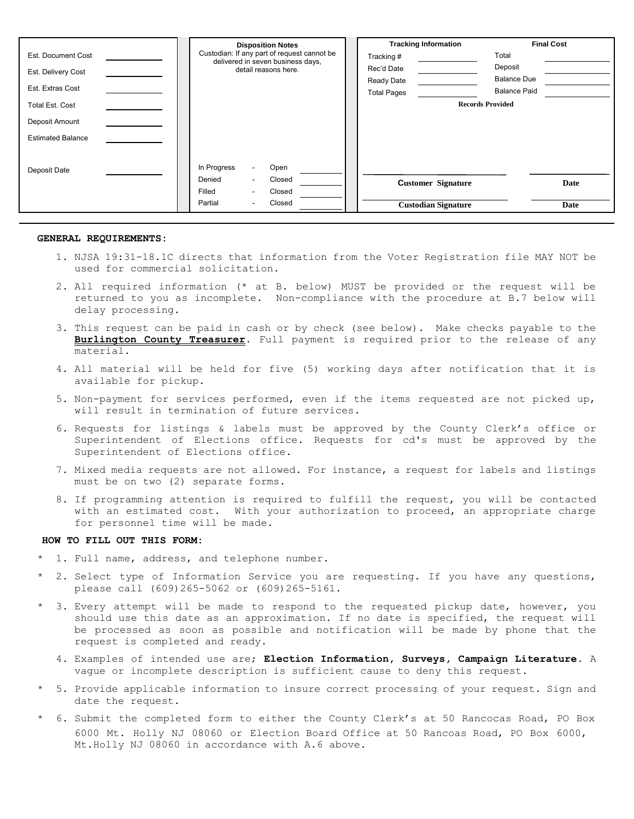|                          | <b>Disposition Notes</b>                                                         | <b>Tracking Information</b> | <b>Final Cost</b>       |
|--------------------------|----------------------------------------------------------------------------------|-----------------------------|-------------------------|
| Est. Document Cost       | Custodian: If any part of request cannot be<br>delivered in seven business days, | Tracking#                   | Total                   |
| Est. Delivery Cost       | detail reasons here.                                                             | Rec'd Date                  | Deposit                 |
|                          |                                                                                  | Ready Date                  | <b>Balance Due</b>      |
| Est. Extras Cost         |                                                                                  | <b>Total Pages</b>          | <b>Balance Paid</b>     |
| <b>Total Est. Cost</b>   |                                                                                  |                             | <b>Records Provided</b> |
| Deposit Amount           |                                                                                  |                             |                         |
| <b>Estimated Balance</b> |                                                                                  |                             |                         |
|                          |                                                                                  |                             |                         |
| Deposit Date             | In Progress<br>Open<br>۰                                                         |                             |                         |
|                          | Denied<br>Closed<br>۰                                                            | <b>Customer Signature</b>   | Date                    |
|                          | Filled<br>Closed<br>۰                                                            |                             |                         |
|                          | Closed<br>Partial<br>۰                                                           | <b>Custodian Signature</b>  | Date                    |

#### **GENERAL REQUIREMENTS:**

- 1. NJSA 19:31-18.1C directs that information from the Voter Registration file MAY NOT be used for commercial solicitation.
- 2. All required information (\* at B. below) MUST be provided or the request will be returned to you as incomplete. Non-compliance with the procedure at B.7 below will delay processing.
- 3. This request can be paid in cash or by check (see below). Make checks payable to the **Burlington County Treasurer**. Full payment is required prior to the release of any material.
- 4. All material will be held for five (5) working days after notification that it is available for pickup.
- 5. Non-payment for services performed, even if the items requested are not picked up, will result in termination of future services.
- 6. Requests for listings & labels must be approved by the County Clerk's office or Superintendent of Elections office. Requests for cd's must be approved by the Superintendent of Elections office.
- 7. Mixed media requests are not allowed. For instance, a request for labels and listings must be on two (2) separate forms.
- 8. If programming attention is required to fulfill the request, you will be contacted with an estimated cost. With your authorization to proceed, an appropriate charge for personnel time will be made.

#### **HOW TO FILL OUT THIS FORM:**

- 1. Full name, address, and telephone number.
- 2. Select type of Information Service you are requesting. If you have any questions, please call (609)265-5062 or (609)265-5161.
- 3. Every attempt will be made to respond to the requested pickup date, however, you should use this date as an approximation. If no date is specified, the request will be processed as soon as possible and notification will be made by phone that the request is completed and ready.
	- 4. Examples of intended use are; **Election Information, Surveys, Campaign Literature.** A vague or incomplete description is sufficient cause to deny this request.
- 5. Provide applicable information to insure correct processing of your request. Sign and date the request.
- 6. Submit the completed form to either the County Clerk's at 50 Rancocas Road, PO Box 6000 Mt. Holly NJ 08060 or Election Board Office at 50 Rancoas Road, PO Box 6000, Mt.Holly NJ 08060 in accordance with A.6 above.